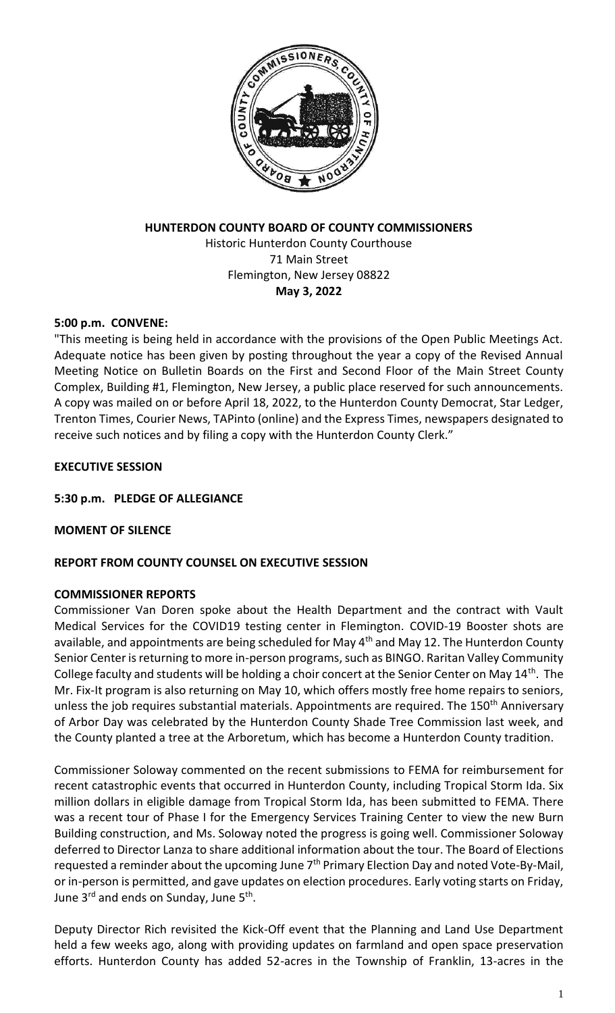

# **HUNTERDON COUNTY BOARD OF COUNTY COMMISSIONERS**

Historic Hunterdon County Courthouse 71 Main Street Flemington, New Jersey 08822 **May 3, 2022**

# **5:00 p.m. CONVENE:**

"This meeting is being held in accordance with the provisions of the Open Public Meetings Act. Adequate notice has been given by posting throughout the year a copy of the Revised Annual Meeting Notice on Bulletin Boards on the First and Second Floor of the Main Street County Complex, Building #1, Flemington, New Jersey, a public place reserved for such announcements. A copy was mailed on or before April 18, 2022, to the Hunterdon County Democrat, Star Ledger, Trenton Times, Courier News, TAPinto (online) and the Express Times, newspapers designated to receive such notices and by filing a copy with the Hunterdon County Clerk."

# **EXECUTIVE SESSION**

## **5:30 p.m. PLEDGE OF ALLEGIANCE**

## **MOMENT OF SILENCE**

# **REPORT FROM COUNTY COUNSEL ON EXECUTIVE SESSION**

# **COMMISSIONER REPORTS**

Commissioner Van Doren spoke about the Health Department and the contract with Vault Medical Services for the COVID19 testing center in Flemington. COVID-19 Booster shots are available, and appointments are being scheduled for May 4<sup>th</sup> and May 12. The Hunterdon County Senior Center is returning to more in-person programs, such as BINGO. Raritan Valley Community College faculty and students will be holding a choir concert at the Senior Center on May 14<sup>th</sup>. The Mr. Fix-It program is also returning on May 10, which offers mostly free home repairs to seniors, unless the job requires substantial materials. Appointments are required. The 150<sup>th</sup> Anniversary of Arbor Day was celebrated by the Hunterdon County Shade Tree Commission last week, and the County planted a tree at the Arboretum, which has become a Hunterdon County tradition.

Commissioner Soloway commented on the recent submissions to FEMA for reimbursement for recent catastrophic events that occurred in Hunterdon County, including Tropical Storm Ida. Six million dollars in eligible damage from Tropical Storm Ida, has been submitted to FEMA. There was a recent tour of Phase I for the Emergency Services Training Center to view the new Burn Building construction, and Ms. Soloway noted the progress is going well. Commissioner Soloway deferred to Director Lanza to share additional information about the tour. The Board of Elections requested a reminder about the upcoming June  $7<sup>th</sup>$  Primary Election Day and noted Vote-By-Mail, or in-person is permitted, and gave updates on election procedures. Early voting starts on Friday, June 3<sup>rd</sup> and ends on Sunday, June 5<sup>th</sup>.

Deputy Director Rich revisited the Kick-Off event that the Planning and Land Use Department held a few weeks ago, along with providing updates on farmland and open space preservation efforts. Hunterdon County has added 52-acres in the Township of Franklin, 13-acres in the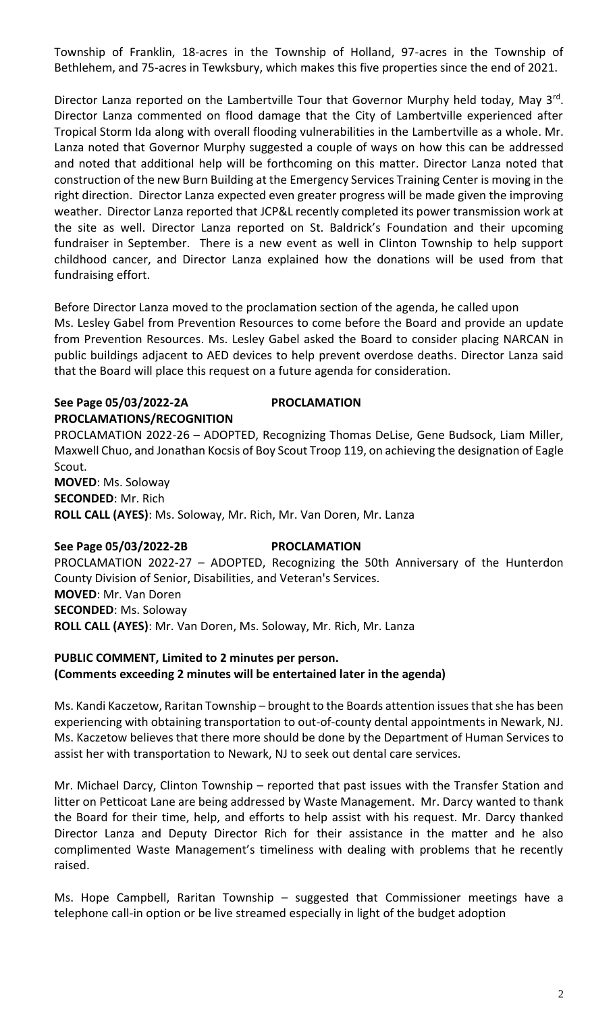Township of Franklin, 18-acres in the Township of Holland, 97-acres in the Township of Bethlehem, and 75-acres in Tewksbury, which makes this five properties since the end of 2021.

Director Lanza reported on the Lambertville Tour that Governor Murphy held today, May 3<sup>rd</sup>. Director Lanza commented on flood damage that the City of Lambertville experienced after Tropical Storm Ida along with overall flooding vulnerabilities in the Lambertville as a whole. Mr. Lanza noted that Governor Murphy suggested a couple of ways on how this can be addressed and noted that additional help will be forthcoming on this matter. Director Lanza noted that construction of the new Burn Building at the Emergency Services Training Center is moving in the right direction. Director Lanza expected even greater progress will be made given the improving weather. Director Lanza reported that JCP&L recently completed its power transmission work at the site as well. Director Lanza reported on St. Baldrick's Foundation and their upcoming fundraiser in September. There is a new event as well in Clinton Township to help support childhood cancer, and Director Lanza explained how the donations will be used from that fundraising effort.

Before Director Lanza moved to the proclamation section of the agenda, he called upon Ms. Lesley Gabel from Prevention Resources to come before the Board and provide an update from Prevention Resources. Ms. Lesley Gabel asked the Board to consider placing NARCAN in public buildings adjacent to AED devices to help prevent overdose deaths. Director Lanza said that the Board will place this request on a future agenda for consideration.

# **See Page 05/03/2022-2A PROCLAMATION PROCLAMATIONS/RECOGNITION**

PROCLAMATION 2022-26 – ADOPTED, Recognizing Thomas DeLise, Gene Budsock, Liam Miller, Maxwell Chuo, and Jonathan Kocsis of Boy Scout Troop 119, on achieving the designation of Eagle Scout.

**MOVED**: Ms. Soloway **SECONDED**: Mr. Rich **ROLL CALL (AYES)**: Ms. Soloway, Mr. Rich, Mr. Van Doren, Mr. Lanza

# **See Page 05/03/2022-2B PROCLAMATION**

PROCLAMATION 2022-27 – ADOPTED, Recognizing the 50th Anniversary of the Hunterdon County Division of Senior, Disabilities, and Veteran's Services. **MOVED**: Mr. Van Doren **SECONDED**: Ms. Soloway **ROLL CALL (AYES)**: Mr. Van Doren, Ms. Soloway, Mr. Rich, Mr. Lanza

# **PUBLIC COMMENT, Limited to 2 minutes per person. (Comments exceeding 2 minutes will be entertained later in the agenda)**

Ms. Kandi Kaczetow, Raritan Township – brought to the Boards attention issues that she has been experiencing with obtaining transportation to out-of-county dental appointments in Newark, NJ. Ms. Kaczetow believes that there more should be done by the Department of Human Services to assist her with transportation to Newark, NJ to seek out dental care services.

Mr. Michael Darcy, Clinton Township – reported that past issues with the Transfer Station and litter on Petticoat Lane are being addressed by Waste Management. Mr. Darcy wanted to thank the Board for their time, help, and efforts to help assist with his request. Mr. Darcy thanked Director Lanza and Deputy Director Rich for their assistance in the matter and he also complimented Waste Management's timeliness with dealing with problems that he recently raised.

Ms. Hope Campbell, Raritan Township – suggested that Commissioner meetings have a telephone call-in option or be live streamed especially in light of the budget adoption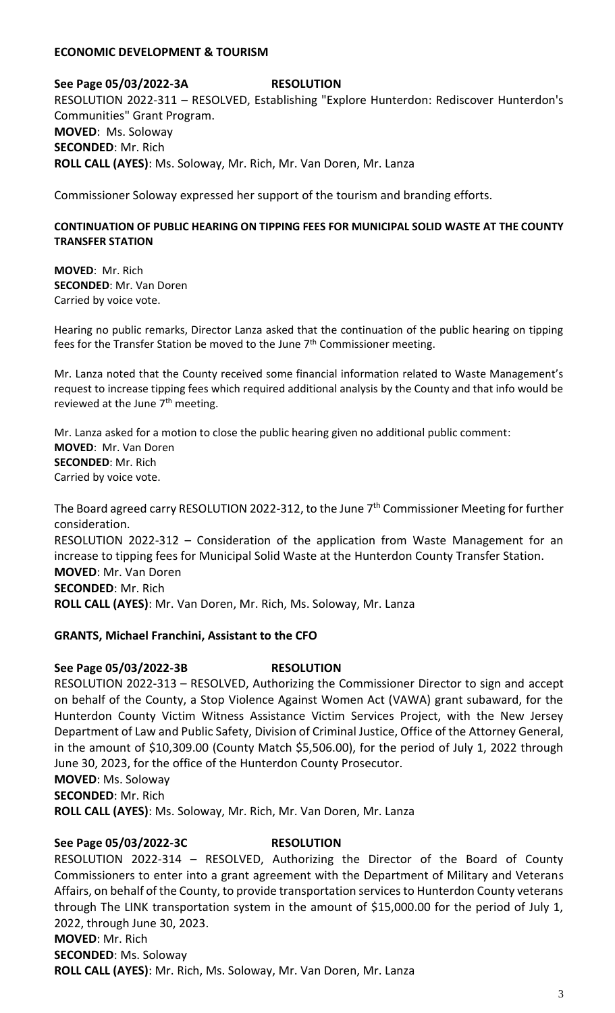### **ECONOMIC DEVELOPMENT & TOURISM**

**See Page 05/03/2022-3A RESOLUTION** RESOLUTION 2022-311 – RESOLVED, Establishing "Explore Hunterdon: Rediscover Hunterdon's Communities" Grant Program. **MOVED**: Ms. Soloway **SECONDED**: Mr. Rich **ROLL CALL (AYES)**: Ms. Soloway, Mr. Rich, Mr. Van Doren, Mr. Lanza

Commissioner Soloway expressed her support of the tourism and branding efforts.

## **CONTINUATION OF PUBLIC HEARING ON TIPPING FEES FOR MUNICIPAL SOLID WASTE AT THE COUNTY TRANSFER STATION**

**MOVED**: Mr. Rich **SECONDED**: Mr. Van Doren Carried by voice vote.

Hearing no public remarks, Director Lanza asked that the continuation of the public hearing on tipping fees for the Transfer Station be moved to the June  $7<sup>th</sup>$  Commissioner meeting.

Mr. Lanza noted that the County received some financial information related to Waste Management's request to increase tipping fees which required additional analysis by the County and that info would be reviewed at the June 7<sup>th</sup> meeting.

Mr. Lanza asked for a motion to close the public hearing given no additional public comment: **MOVED**: Mr. Van Doren **SECONDED**: Mr. Rich Carried by voice vote.

The Board agreed carry RESOLUTION 2022-312, to the June 7<sup>th</sup> Commissioner Meeting for further consideration. RESOLUTION 2022-312 – Consideration of the application from Waste Management for an increase to tipping fees for Municipal Solid Waste at the Hunterdon County Transfer Station. **MOVED**: Mr. Van Doren **SECONDED**: Mr. Rich **ROLL CALL (AYES)**: Mr. Van Doren, Mr. Rich, Ms. Soloway, Mr. Lanza

### **GRANTS, Michael Franchini, Assistant to the CFO**

### **See Page 05/03/2022-3B RESOLUTION**

RESOLUTION 2022-313 – RESOLVED, Authorizing the Commissioner Director to sign and accept on behalf of the County, a Stop Violence Against Women Act (VAWA) grant subaward, for the Hunterdon County Victim Witness Assistance Victim Services Project, with the New Jersey Department of Law and Public Safety, Division of Criminal Justice, Office of the Attorney General, in the amount of \$10,309.00 (County Match \$5,506.00), for the period of July 1, 2022 through June 30, 2023, for the office of the Hunterdon County Prosecutor. **MOVED**: Ms. Soloway

**SECONDED**: Mr. Rich

**ROLL CALL (AYES)**: Ms. Soloway, Mr. Rich, Mr. Van Doren, Mr. Lanza

### **See Page 05/03/2022-3C RESOLUTION**

RESOLUTION 2022-314 – RESOLVED, Authorizing the Director of the Board of County Commissioners to enter into a grant agreement with the Department of Military and Veterans Affairs, on behalf of the County, to provide transportation services to Hunterdon County veterans through The LINK transportation system in the amount of \$15,000.00 for the period of July 1, 2022, through June 30, 2023. **MOVED**: Mr. Rich **SECONDED**: Ms. Soloway **ROLL CALL (AYES)**: Mr. Rich, Ms. Soloway, Mr. Van Doren, Mr. Lanza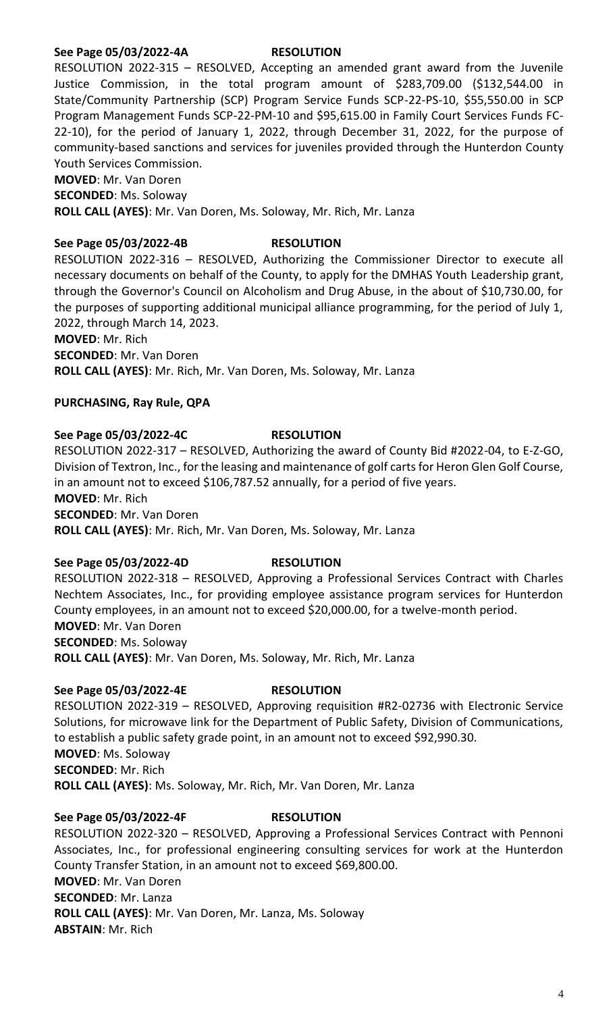## **See Page 05/03/2022-4A RESOLUTION**

RESOLUTION 2022-315 – RESOLVED, Accepting an amended grant award from the Juvenile Justice Commission, in the total program amount of \$283,709.00 (\$132,544.00 in State/Community Partnership (SCP) Program Service Funds SCP-22-PS-10, \$55,550.00 in SCP Program Management Funds SCP-22-PM-10 and \$95,615.00 in Family Court Services Funds FC-22-10), for the period of January 1, 2022, through December 31, 2022, for the purpose of community-based sanctions and services for juveniles provided through the Hunterdon County Youth Services Commission.

**MOVED**: Mr. Van Doren **SECONDED**: Ms. Soloway **ROLL CALL (AYES)**: Mr. Van Doren, Ms. Soloway, Mr. Rich, Mr. Lanza

## **See Page 05/03/2022-4B RESOLUTION**

RESOLUTION 2022-316 – RESOLVED, Authorizing the Commissioner Director to execute all necessary documents on behalf of the County, to apply for the DMHAS Youth Leadership grant, through the Governor's Council on Alcoholism and Drug Abuse, in the about of \$10,730.00, for the purposes of supporting additional municipal alliance programming, for the period of July 1, 2022, through March 14, 2023.

**MOVED**: Mr. Rich

**SECONDED**: Mr. Van Doren

**ROLL CALL (AYES)**: Mr. Rich, Mr. Van Doren, Ms. Soloway, Mr. Lanza

# **PURCHASING, Ray Rule, QPA**

## **See Page 05/03/2022-4C RESOLUTION**

RESOLUTION 2022-317 – RESOLVED, Authorizing the award of County Bid #2022-04, to E-Z-GO, Division of Textron, Inc., for the leasing and maintenance of golf carts for Heron Glen Golf Course, in an amount not to exceed \$106,787.52 annually, for a period of five years. **MOVED**: Mr. Rich **SECONDED**: Mr. Van Doren **ROLL CALL (AYES)**: Mr. Rich, Mr. Van Doren, Ms. Soloway, Mr. Lanza

## **See Page 05/03/2022-4D RESOLUTION**

RESOLUTION 2022-318 – RESOLVED, Approving a Professional Services Contract with Charles Nechtem Associates, Inc., for providing employee assistance program services for Hunterdon County employees, in an amount not to exceed \$20,000.00, for a twelve-month period. **MOVED**: Mr. Van Doren **SECONDED**: Ms. Soloway **ROLL CALL (AYES)**: Mr. Van Doren, Ms. Soloway, Mr. Rich, Mr. Lanza

## **See Page 05/03/2022-4E RESOLUTION**

RESOLUTION 2022-319 – RESOLVED, Approving requisition #R2-02736 with Electronic Service Solutions, for microwave link for the Department of Public Safety, Division of Communications, to establish a public safety grade point, in an amount not to exceed \$92,990.30. **MOVED**: Ms. Soloway **SECONDED**: Mr. Rich **ROLL CALL (AYES)**: Ms. Soloway, Mr. Rich, Mr. Van Doren, Mr. Lanza

### **See Page 05/03/2022-4F RESOLUTION**

RESOLUTION 2022-320 – RESOLVED, Approving a Professional Services Contract with Pennoni Associates, Inc., for professional engineering consulting services for work at the Hunterdon County Transfer Station, in an amount not to exceed \$69,800.00. **MOVED**: Mr. Van Doren **SECONDED**: Mr. Lanza **ROLL CALL (AYES)**: Mr. Van Doren, Mr. Lanza, Ms. Soloway **ABSTAIN**: Mr. Rich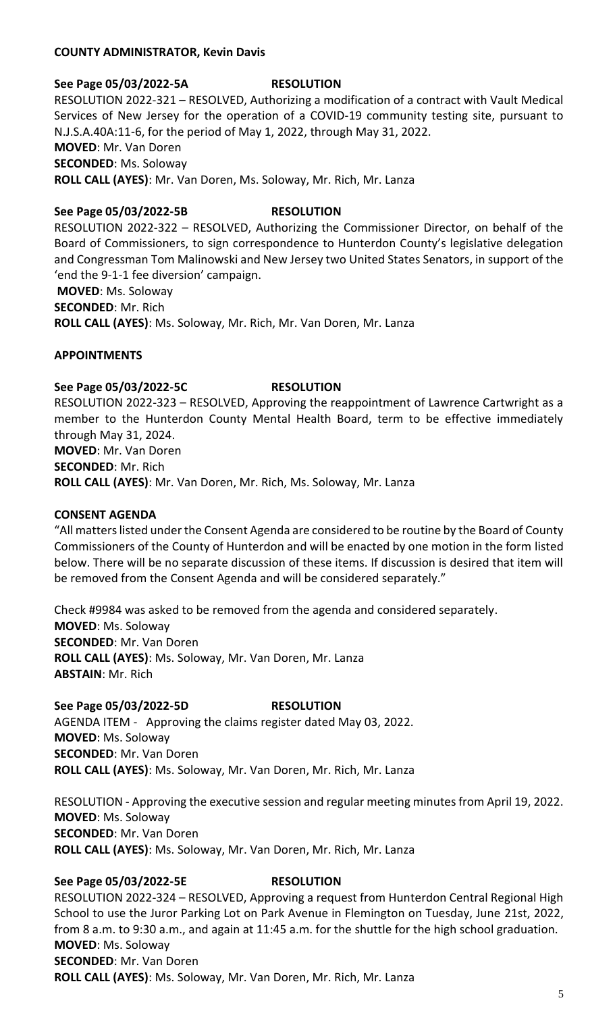### **COUNTY ADMINISTRATOR, Kevin Davis**

# **See Page 05/03/2022-5A RESOLUTION** RESOLUTION 2022-321 – RESOLVED, Authorizing a modification of a contract with Vault Medical Services of New Jersey for the operation of a COVID-19 community testing site, pursuant to N.J.S.A.40A:11-6, for the period of May 1, 2022, through May 31, 2022. **MOVED**: Mr. Van Doren **SECONDED**: Ms. Soloway **ROLL CALL (AYES)**: Mr. Van Doren, Ms. Soloway, Mr. Rich, Mr. Lanza

# **See Page 05/03/2022-5B RESOLUTION**

RESOLUTION 2022-322 – RESOLVED, Authorizing the Commissioner Director, on behalf of the Board of Commissioners, to sign correspondence to Hunterdon County's legislative delegation and Congressman Tom Malinowski and New Jersey two United States Senators, in support of the 'end the 9-1-1 fee diversion' campaign.

**MOVED**: Ms. Soloway

**SECONDED**: Mr. Rich

**ROLL CALL (AYES)**: Ms. Soloway, Mr. Rich, Mr. Van Doren, Mr. Lanza

## **APPOINTMENTS**

# **See Page 05/03/2022-5C RESOLUTION**

RESOLUTION 2022-323 – RESOLVED, Approving the reappointment of Lawrence Cartwright as a member to the Hunterdon County Mental Health Board, term to be effective immediately through May 31, 2024. **MOVED**: Mr. Van Doren **SECONDED**: Mr. Rich **ROLL CALL (AYES)**: Mr. Van Doren, Mr. Rich, Ms. Soloway, Mr. Lanza

### **CONSENT AGENDA**

"All matters listed under the Consent Agenda are considered to be routine by the Board of County Commissioners of the County of Hunterdon and will be enacted by one motion in the form listed below. There will be no separate discussion of these items. If discussion is desired that item will be removed from the Consent Agenda and will be considered separately."

Check #9984 was asked to be removed from the agenda and considered separately. **MOVED**: Ms. Soloway **SECONDED**: Mr. Van Doren **ROLL CALL (AYES)**: Ms. Soloway, Mr. Van Doren, Mr. Lanza **ABSTAIN**: Mr. Rich

# **See Page 05/03/2022-5D RESOLUTION** AGENDA ITEM - Approving the claims register dated May 03, 2022. **MOVED**: Ms. Soloway **SECONDED**: Mr. Van Doren **ROLL CALL (AYES)**: Ms. Soloway, Mr. Van Doren, Mr. Rich, Mr. Lanza

RESOLUTION - Approving the executive session and regular meeting minutes from April 19, 2022. **MOVED**: Ms. Soloway **SECONDED**: Mr. Van Doren **ROLL CALL (AYES)**: Ms. Soloway, Mr. Van Doren, Mr. Rich, Mr. Lanza

# **See Page 05/03/2022-5E RESOLUTION**

RESOLUTION 2022-324 – RESOLVED, Approving a request from Hunterdon Central Regional High School to use the Juror Parking Lot on Park Avenue in Flemington on Tuesday, June 21st, 2022, from 8 a.m. to 9:30 a.m., and again at 11:45 a.m. for the shuttle for the high school graduation. **MOVED**: Ms. Soloway **SECONDED**: Mr. Van Doren **ROLL CALL (AYES)**: Ms. Soloway, Mr. Van Doren, Mr. Rich, Mr. Lanza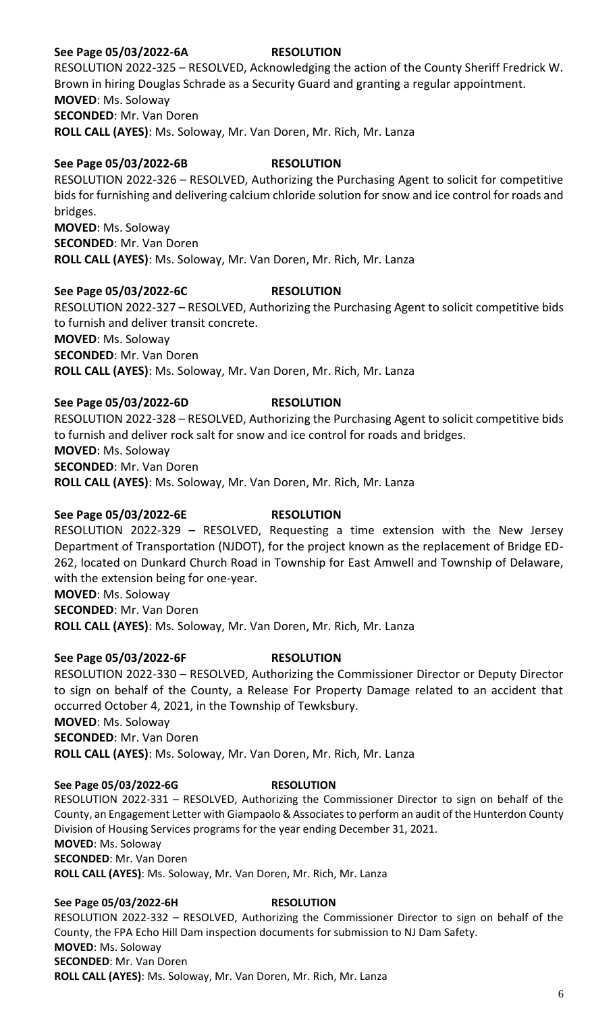## **See Page 05/03/2022-6A RESOLUTION**

RESOLUTION 2022-325 – RESOLVED, Acknowledging the action of the County Sheriff Fredrick W. Brown in hiring Douglas Schrade as a Security Guard and granting a regular appointment. **MOVED**: Ms. Soloway **SECONDED**: Mr. Van Doren **ROLL CALL (AYES)**: Ms. Soloway, Mr. Van Doren, Mr. Rich, Mr. Lanza

## **See Page 05/03/2022-6B RESOLUTION**

RESOLUTION 2022-326 – RESOLVED, Authorizing the Purchasing Agent to solicit for competitive bids for furnishing and delivering calcium chloride solution for snow and ice control for roads and bridges. **MOVED**: Ms. Soloway **SECONDED**: Mr. Van Doren

**ROLL CALL (AYES)**: Ms. Soloway, Mr. Van Doren, Mr. Rich, Mr. Lanza

## **See Page 05/03/2022-6C RESOLUTION**

RESOLUTION 2022-327 – RESOLVED, Authorizing the Purchasing Agent to solicit competitive bids to furnish and deliver transit concrete. **MOVED**: Ms. Soloway **SECONDED**: Mr. Van Doren **ROLL CALL (AYES)**: Ms. Soloway, Mr. Van Doren, Mr. Rich, Mr. Lanza

## **See Page 05/03/2022-6D RESOLUTION**

RESOLUTION 2022-328 – RESOLVED, Authorizing the Purchasing Agent to solicit competitive bids to furnish and deliver rock salt for snow and ice control for roads and bridges. **MOVED**: Ms. Soloway **SECONDED**: Mr. Van Doren

**ROLL CALL (AYES)**: Ms. Soloway, Mr. Van Doren, Mr. Rich, Mr. Lanza

### **See Page 05/03/2022-6E RESOLUTION**

RESOLUTION 2022-329 – RESOLVED, Requesting a time extension with the New Jersey Department of Transportation (NJDOT), for the project known as the replacement of Bridge ED-262, located on Dunkard Church Road in Township for East Amwell and Township of Delaware, with the extension being for one-year.

**MOVED**: Ms. Soloway **SECONDED**: Mr. Van Doren

**ROLL CALL (AYES)**: Ms. Soloway, Mr. Van Doren, Mr. Rich, Mr. Lanza

### **See Page 05/03/2022-6F RESOLUTION**

RESOLUTION 2022-330 – RESOLVED, Authorizing the Commissioner Director or Deputy Director to sign on behalf of the County, a Release For Property Damage related to an accident that occurred October 4, 2021, in the Township of Tewksbury.

**MOVED**: Ms. Soloway

**SECONDED**: Mr. Van Doren

**ROLL CALL (AYES)**: Ms. Soloway, Mr. Van Doren, Mr. Rich, Mr. Lanza

### **See Page 05/03/2022-6G RESOLUTION**

RESOLUTION 2022-331 – RESOLVED, Authorizing the Commissioner Director to sign on behalf of the County, an Engagement Letter with Giampaolo & Associates to perform an audit of the Hunterdon County Division of Housing Services programs for the year ending December 31, 2021.

**MOVED**: Ms. Soloway **SECONDED**: Mr. Van Doren

**ROLL CALL (AYES)**: Ms. Soloway, Mr. Van Doren, Mr. Rich, Mr. Lanza

### **See Page 05/03/2022-6H RESOLUTION**

RESOLUTION 2022-332 – RESOLVED, Authorizing the Commissioner Director to sign on behalf of the County, the FPA Echo Hill Dam inspection documents for submission to NJ Dam Safety. **MOVED**: Ms. Soloway **SECONDED**: Mr. Van Doren **ROLL CALL (AYES)**: Ms. Soloway, Mr. Van Doren, Mr. Rich, Mr. Lanza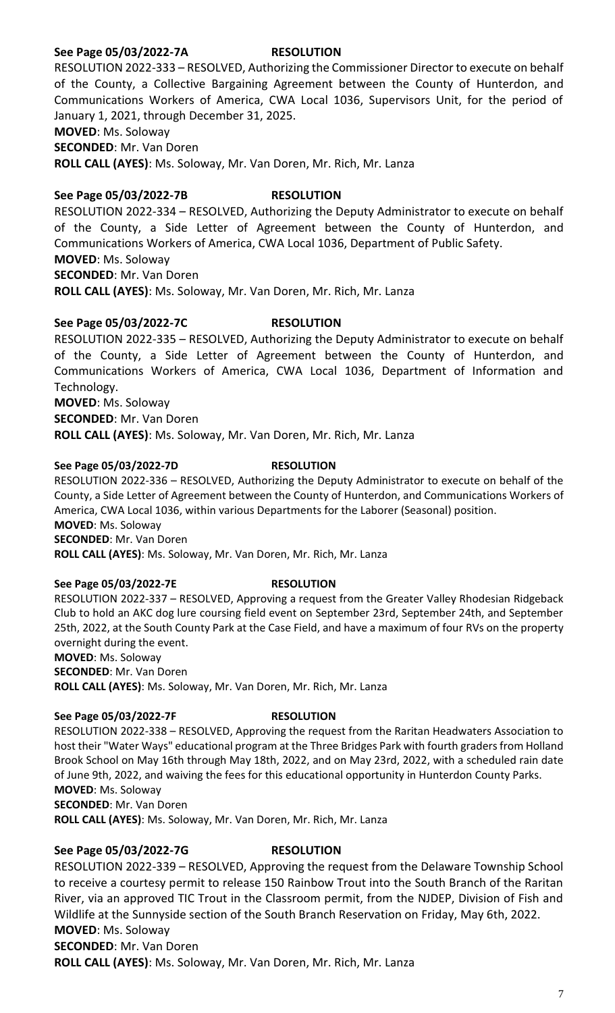## **See Page 05/03/2022-7A RESOLUTION**

RESOLUTION 2022-333 – RESOLVED, Authorizing the Commissioner Director to execute on behalf of the County, a Collective Bargaining Agreement between the County of Hunterdon, and Communications Workers of America, CWA Local 1036, Supervisors Unit, for the period of January 1, 2021, through December 31, 2025.

**MOVED**: Ms. Soloway

**SECONDED**: Mr. Van Doren

**ROLL CALL (AYES)**: Ms. Soloway, Mr. Van Doren, Mr. Rich, Mr. Lanza

# **See Page 05/03/2022-7B RESOLUTION**

RESOLUTION 2022-334 – RESOLVED, Authorizing the Deputy Administrator to execute on behalf of the County, a Side Letter of Agreement between the County of Hunterdon, and Communications Workers of America, CWA Local 1036, Department of Public Safety. **MOVED**: Ms. Soloway **SECONDED**: Mr. Van Doren **ROLL CALL (AYES)**: Ms. Soloway, Mr. Van Doren, Mr. Rich, Mr. Lanza

## **See Page 05/03/2022-7C RESOLUTION**

RESOLUTION 2022-335 – RESOLVED, Authorizing the Deputy Administrator to execute on behalf of the County, a Side Letter of Agreement between the County of Hunterdon, and Communications Workers of America, CWA Local 1036, Department of Information and Technology. **MOVED**: Ms. Soloway

**SECONDED**: Mr. Van Doren

**ROLL CALL (AYES)**: Ms. Soloway, Mr. Van Doren, Mr. Rich, Mr. Lanza

### **See Page 05/03/2022-7D RESOLUTION**

RESOLUTION 2022-336 – RESOLVED, Authorizing the Deputy Administrator to execute on behalf of the County, a Side Letter of Agreement between the County of Hunterdon, and Communications Workers of America, CWA Local 1036, within various Departments for the Laborer (Seasonal) position. **MOVED**: Ms. Soloway **SECONDED**: Mr. Van Doren

**ROLL CALL (AYES)**: Ms. Soloway, Mr. Van Doren, Mr. Rich, Mr. Lanza

### **See Page 05/03/2022-7E RESOLUTION**

RESOLUTION 2022-337 – RESOLVED, Approving a request from the Greater Valley Rhodesian Ridgeback Club to hold an AKC dog lure coursing field event on September 23rd, September 24th, and September 25th, 2022, at the South County Park at the Case Field, and have a maximum of four RVs on the property overnight during the event.

**MOVED**: Ms. Soloway **SECONDED**: Mr. Van Doren **ROLL CALL (AYES)**: Ms. Soloway, Mr. Van Doren, Mr. Rich, Mr. Lanza

### **See Page 05/03/2022-7F RESOLUTION**

RESOLUTION 2022-338 – RESOLVED, Approving the request from the Raritan Headwaters Association to host their "Water Ways" educational program at the Three Bridges Park with fourth graders from Holland Brook School on May 16th through May 18th, 2022, and on May 23rd, 2022, with a scheduled rain date of June 9th, 2022, and waiving the fees for this educational opportunity in Hunterdon County Parks. **MOVED**: Ms. Soloway **SECONDED**: Mr. Van Doren **ROLL CALL (AYES)**: Ms. Soloway, Mr. Van Doren, Mr. Rich, Mr. Lanza

### **See Page 05/03/2022-7G RESOLUTION**

RESOLUTION 2022-339 – RESOLVED, Approving the request from the Delaware Township School to receive a courtesy permit to release 150 Rainbow Trout into the South Branch of the Raritan River, via an approved TIC Trout in the Classroom permit, from the NJDEP, Division of Fish and Wildlife at the Sunnyside section of the South Branch Reservation on Friday, May 6th, 2022. **MOVED**: Ms. Soloway **SECONDED**: Mr. Van Doren **ROLL CALL (AYES)**: Ms. Soloway, Mr. Van Doren, Mr. Rich, Mr. Lanza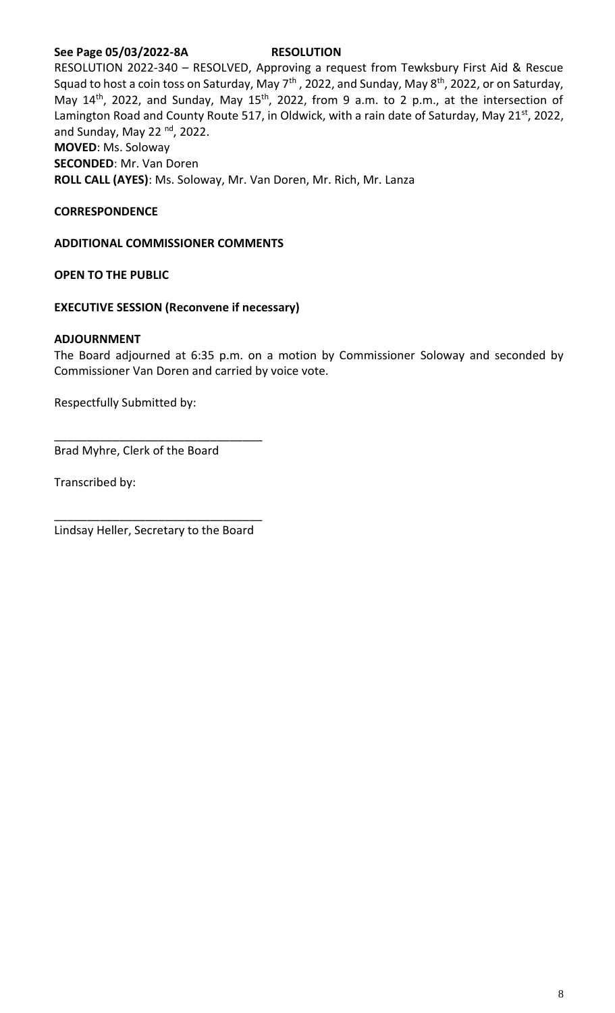## **See Page 05/03/2022-8A RESOLUTION**

RESOLUTION 2022-340 – RESOLVED, Approving a request from Tewksbury First Aid & Rescue Squad to host a coin toss on Saturday, May  $7^{\text{th}}$ , 2022, and Sunday, May  $8^{\text{th}}$ , 2022, or on Saturday, May  $14<sup>th</sup>$ , 2022, and Sunday, May  $15<sup>th</sup>$ , 2022, from 9 a.m. to 2 p.m., at the intersection of Lamington Road and County Route 517, in Oldwick, with a rain date of Saturday, May 21<sup>st</sup>, 2022, and Sunday, May 22 $^{\text{nd}}$ , 2022. **MOVED**: Ms. Soloway **SECONDED**: Mr. Van Doren

**ROLL CALL (AYES)**: Ms. Soloway, Mr. Van Doren, Mr. Rich, Mr. Lanza

## **CORRESPONDENCE**

**ADDITIONAL COMMISSIONER COMMENTS**

**OPEN TO THE PUBLIC**

### **EXECUTIVE SESSION (Reconvene if necessary)**

## **ADJOURNMENT**

The Board adjourned at 6:35 p.m. on a motion by Commissioner Soloway and seconded by Commissioner Van Doren and carried by voice vote.

Respectfully Submitted by:

Brad Myhre, Clerk of the Board

Transcribed by:

\_\_\_\_\_\_\_\_\_\_\_\_\_\_\_\_\_\_\_\_\_\_\_\_\_\_\_\_\_\_\_\_ Lindsay Heller, Secretary to the Board

\_\_\_\_\_\_\_\_\_\_\_\_\_\_\_\_\_\_\_\_\_\_\_\_\_\_\_\_\_\_\_\_